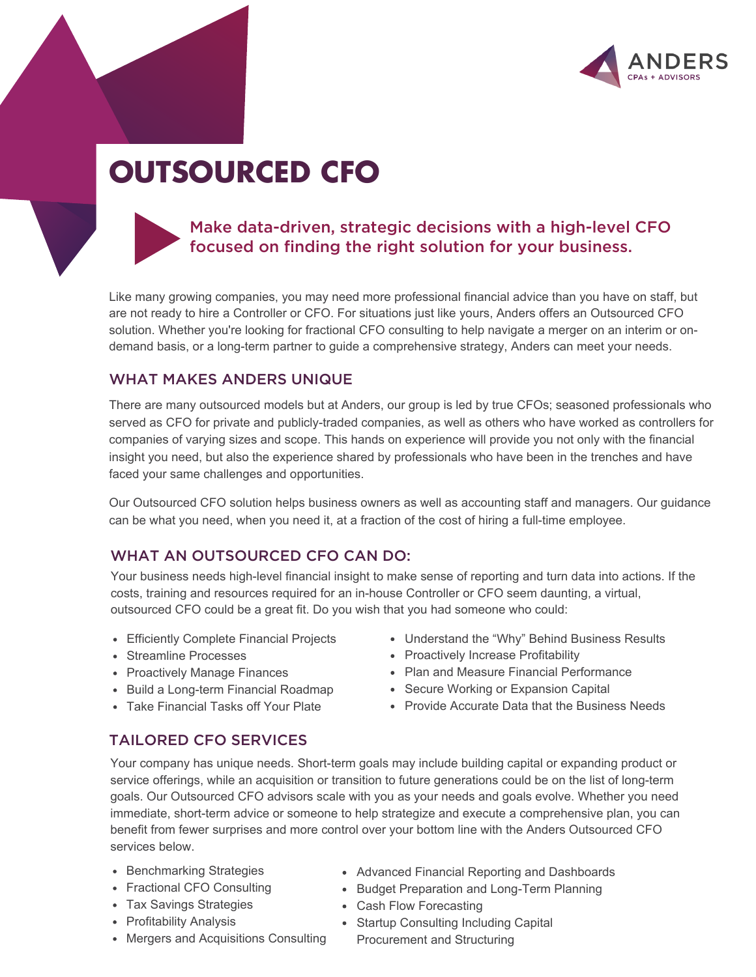

# **OUTSOURCED CFO**



## Make data-driven, strategic decisions with a high-level CFO focused on finding the right solution for your business.

Like many growing companies, you may need more professional financial advice than you have on staff, but are not ready to hire a Controller or CFO. For situations just like yours, Anders offers an Outsourced CFO solution. Whether you're looking for fractional CFO consulting to help navigate a merger on an interim or ondemand basis, or a long-term partner to guide a comprehensive strategy, Anders can meet your needs.

#### WHAT MAKES ANDERS UNIQUE

There are many outsourced models but at Anders, our group is led by true CFOs; seasoned professionals who served as CFO for private and publicly-traded companies, as well as others who have worked as controllers for companies of varying sizes and scope. This hands on experience will provide you not only with the financial insight you need, but also the experience shared by professionals who have been in the trenches and have faced your same challenges and opportunities.

Our Outsourced CFO solution helps business owners as well as accounting staff and managers. Our guidance can be what you need, when you need it, at a fraction of the cost of hiring a full-time employee.

#### WHAT AN OUTSOURCED CFO CAN DO:

Your business needs high-level financial insight to make sense of reporting and turn data into actions. If the costs, training and resources required for an in-house Controller or CFO seem daunting, a virtual, outsourced CFO could be a great fit. Do you wish that you had someone who could:

- Efficiently Complete Financial Projects
- Streamline Processes
- Proactively Manage Finances
- Build a Long-term Financial Roadmap
- Take Financial Tasks off Your Plate
- Understand the "Why" Behind Business Results
- Proactively Increase Profitability
- Plan and Measure Financial Performance
- Secure Working or Expansion Capital
- Provide Accurate Data that the Business Needs

### TAILORED CFO SERVICES

Your company has unique needs. Short-term goals may include building capital or expanding product or service offerings, while an acquisition or transition to future generations could be on the list of long-term goals. Our Outsourced CFO advisors scale with you as your needs and goals evolve. Whether you need immediate, short-term advice or someone to help strategize and execute a comprehensive plan, you can benefit from fewer surprises and more control over your bottom line with the Anders Outsourced CFO services below.

- Benchmarking Strategies
- Fractional CFO Consulting
- Tax Savings Strategies
- Profitability Analysis
- Mergers and Acquisitions Consulting
- Advanced Financial Reporting and Dashboards
- **Budget Preparation and Long-Term Planning**
- Cash Flow Forecasting
- Startup Consulting Including Capital
	- Procurement and Structuring